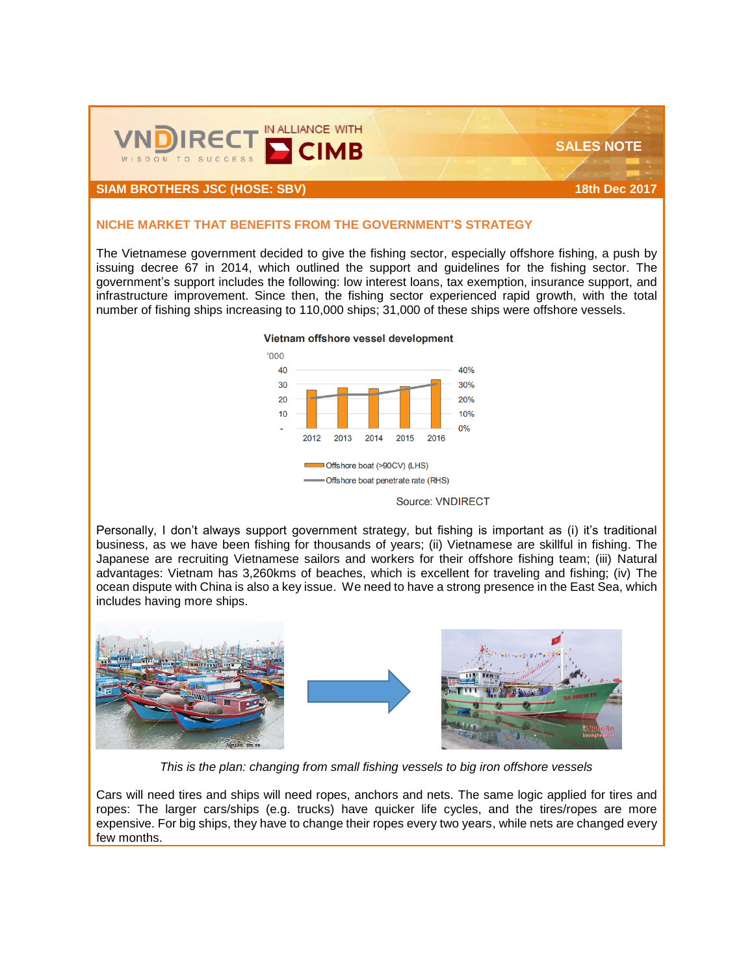

### **SIAM BROTHERS JSC (HOSE: SBV) 18th Dec 2017**

#### **NICHE MARKET THAT BENEFITS FROM THE GOVERNMENT'S STRATEGY**

The Vietnamese government decided to give the fishing sector, especially offshore fishing, a push by issuing decree 67 in 2014, which outlined the support and guidelines for the fishing sector. The government's support includes the following: low interest loans, tax exemption, insurance support, and infrastructure improvement. Since then, the fishing sector experienced rapid growth, with the total number of fishing ships increasing to 110,000 ships; 31,000 of these ships were offshore vessels.



Personally, I don't always support government strategy, but fishing is important as (i) it's traditional business, as we have been fishing for thousands of years; (ii) Vietnamese are skillful in fishing. The Japanese are recruiting Vietnamese sailors and workers for their offshore fishing team; (iii) Natural advantages: Vietnam has 3,260kms of beaches, which is excellent for traveling and fishing; (iv) The ocean dispute with China is also a key issue. We need to have a strong presence in the East Sea, which includes having more ships.



*This is the plan: changing from small fishing vessels to big iron offshore vessels*

Cars will need tires and ships will need ropes, anchors and nets. The same logic applied for tires and ropes: The larger cars/ships (e.g. trucks) have quicker life cycles, and the tires/ropes are more expensive. For big ships, they have to change their ropes every two years, while nets are changed every few months.

Vietnam offshore vessel development

 **SALES NOTE**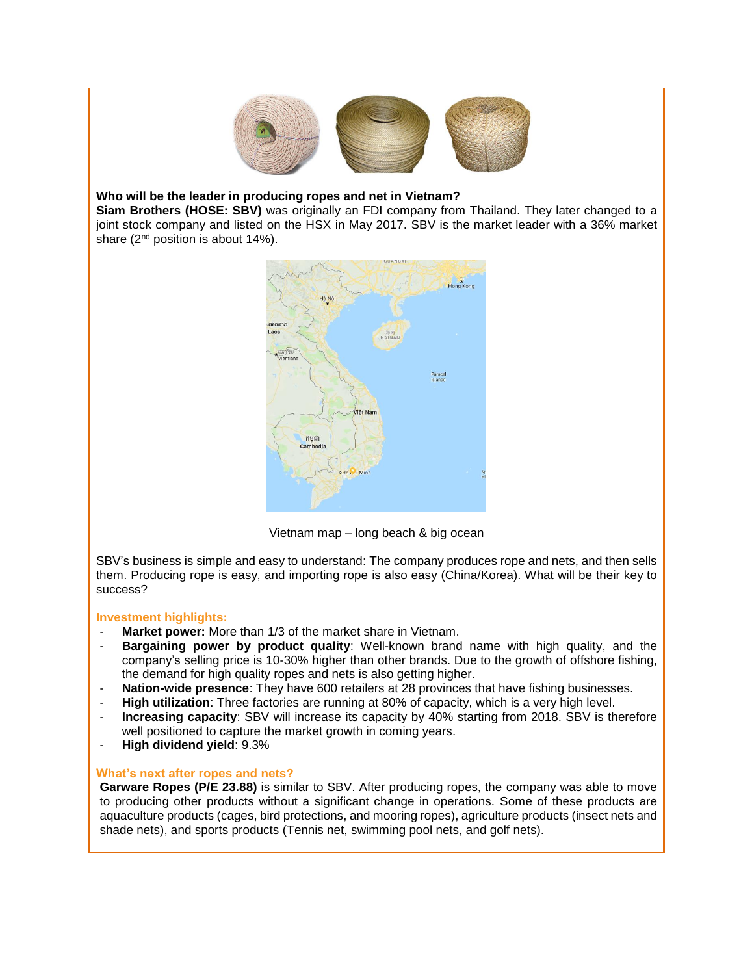

# **Who will be the leader in producing ropes and net in Vietnam?**

**Siam Brothers (HOSE: SBV)** was originally an FDI company from Thailand. They later changed to a joint stock company and listed on the HSX in May 2017. SBV is the market leader with a 36% market share (2<sup>nd</sup> position is about 14%).



Vietnam map – long beach & big ocean

SBV's business is simple and easy to understand: The company produces rope and nets, and then sells them. Producing rope is easy, and importing rope is also easy (China/Korea). What will be their key to success?

## **Investment highlights:**

- **Market power:** More than 1/3 of the market share in Vietnam.
- **Bargaining power by product quality**: Well-known brand name with high quality, and the company's selling price is 10-30% higher than other brands. Due to the growth of offshore fishing, the demand for high quality ropes and nets is also getting higher.
- **Nation-wide presence**: They have 600 retailers at 28 provinces that have fishing businesses.
- **High utilization**: Three factories are running at 80% of capacity, which is a very high level.
- **Increasing capacity**: SBV will increase its capacity by 40% starting from 2018. SBV is therefore well positioned to capture the market growth in coming years.
- **High dividend yield**: 9.3%

## **What's next after ropes and nets?**

**Garware Ropes (P/E 23.88)** is similar to SBV. After producing ropes, the company was able to move to producing other products without a significant change in operations. Some of these products are aquaculture products (cages, bird protections, and mooring ropes), agriculture products (insect nets and shade nets), and sports products (Tennis net, swimming pool nets, and golf nets).